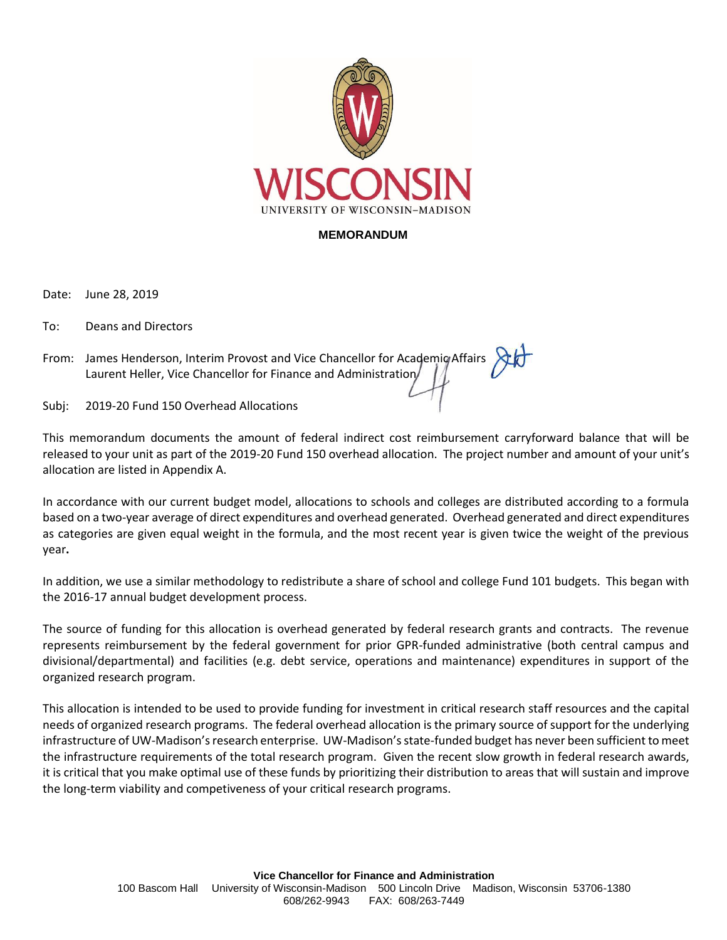

## **MEMORANDUM**

Date: June 28, 2019

To: Deans and Directors

From: James Henderson, Interim Provost and Vice Chancellor for Academic Affairs Laurent Heller, Vice Chancellor for Finance and Administration

Subj: 2019-20 Fund 150 Overhead Allocations

This memorandum documents the amount of federal indirect cost reimbursement carryforward balance that will be released to your unit as part of the 2019-20 Fund 150 overhead allocation. The project number and amount of your unit's allocation are listed in Appendix A.

In accordance with our current budget model, allocations to schools and colleges are distributed according to a formula based on a two-year average of direct expenditures and overhead generated. Overhead generated and direct expenditures as categories are given equal weight in the formula, and the most recent year is given twice the weight of the previous year**.** 

In addition, we use a similar methodology to redistribute a share of school and college Fund 101 budgets. This began with the 2016-17 annual budget development process.

The source of funding for this allocation is overhead generated by federal research grants and contracts. The revenue represents reimbursement by the federal government for prior GPR-funded administrative (both central campus and divisional/departmental) and facilities (e.g. debt service, operations and maintenance) expenditures in support of the organized research program.

This allocation is intended to be used to provide funding for investment in critical research staff resources and the capital needs of organized research programs. The federal overhead allocation is the primary source of support for the underlying infrastructure of UW-Madison's research enterprise. UW-Madison's state-funded budget has never been sufficient to meet the infrastructure requirements of the total research program. Given the recent slow growth in federal research awards, it is critical that you make optimal use of these funds by prioritizing their distribution to areas that will sustain and improve the long-term viability and competiveness of your critical research programs.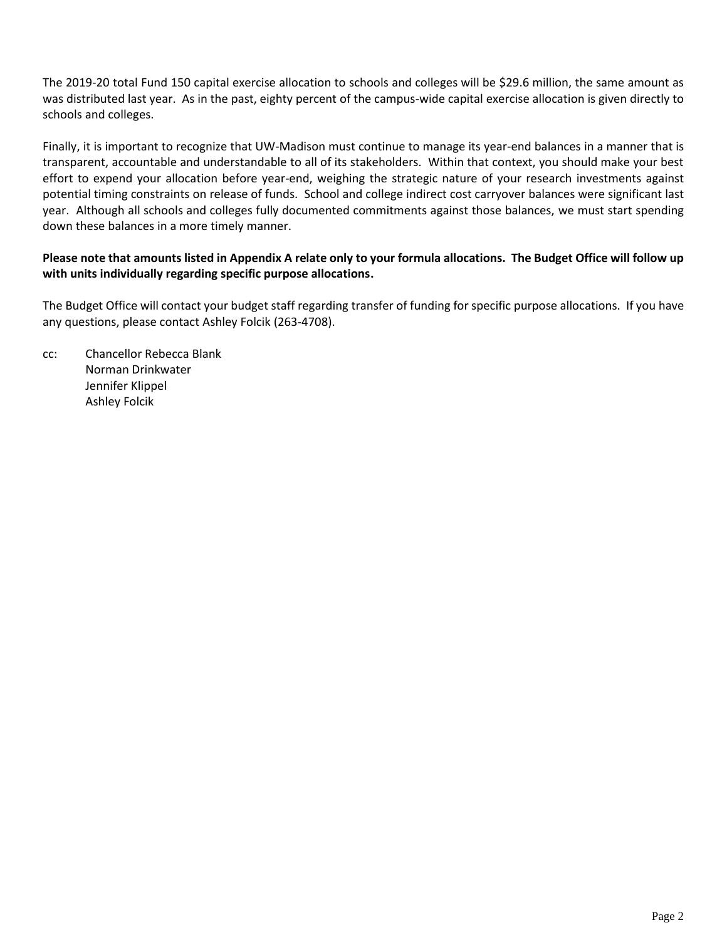The 2019-20 total Fund 150 capital exercise allocation to schools and colleges will be \$29.6 million, the same amount as was distributed last year. As in the past, eighty percent of the campus-wide capital exercise allocation is given directly to schools and colleges.

Finally, it is important to recognize that UW-Madison must continue to manage its year-end balances in a manner that is transparent, accountable and understandable to all of its stakeholders. Within that context, you should make your best effort to expend your allocation before year-end, weighing the strategic nature of your research investments against potential timing constraints on release of funds. School and college indirect cost carryover balances were significant last year. Although all schools and colleges fully documented commitments against those balances, we must start spending down these balances in a more timely manner.

## **Please note that amounts listed in Appendix A relate only to your formula allocations. The Budget Office will follow up with units individually regarding specific purpose allocations.**

The Budget Office will contact your budget staff regarding transfer of funding for specific purpose allocations. If you have any questions, please contact Ashley Folcik (263-4708).

cc: Chancellor Rebecca Blank Norman Drinkwater Jennifer Klippel Ashley Folcik